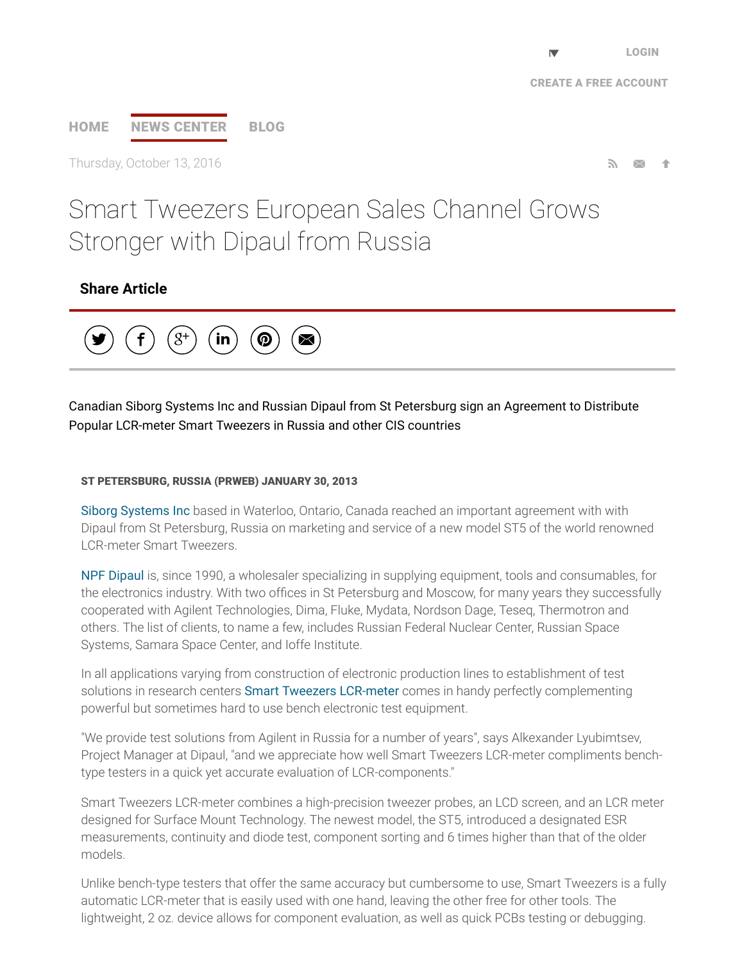## [HOME](http://www.prweb.com/) NEWS [CENTER](http://www.prweb.com/recentnews/) [BLOG](http://www.cision.com/us/blog/)

Thursday, October 13, 2016  $\blacksquare$ 

# Smart Tweezers European Sales Channel Grows Stronger with Dipaul from Russia

## Share Article



## Canadian Siborg Systems Inc and Russian Dipaul from St Petersburg sign an Agreement to Distribute Popular LCR-meter Smart Tweezers in Russia and other CIS countries

#### ST PETERSBURG, RUSSIA (PRWEB) JANUARY 30, 2013

Siborg [Systems](http://www.prweb.net/Redirect.aspx?id=aHR0cDovL3d3dy5zaWJvcmcuY29tL3NtYXJ0dHdlZXplcnM=) Inc based in Waterloo, Ontario, Canada reached an important agreement with with Dipaul from St Petersburg, Russia on marketing and service of a new model ST5 of the world renowned LCR-meter Smart Tweezers.

NPF [Dipaul](http://www.prweb.net/Redirect.aspx?id=aHR0cDovL3d3dy5kaXBhdWwucnUvZW4vY29tcGFueS8=) is, since 1990, a wholesaler specializing in supplying equipment, tools and consumables, for the electronics industry. With two offices in St Petersburg and Moscow, for many years they successfully cooperated with Agilent Technologies, Dima, Fluke, Mydata, Nordson Dage, Teseq, Thermotron and others. The list of clients, to name a few, includes Russian Federal Nuclear Center, Russian Space Systems, Samara Space Center, and Ioffe Institute.

In all applications varying from construction of electronic production lines to establishment of test solutions in research centers **Smart Tweezers [LCR-meter](http://www.prweb.net/Redirect.aspx?id=aHR0cDovL3d3dy5zbWFydHR3ZWV6ZXJzLmNh)** comes in handy perfectly complementing powerful but sometimes hard to use bench electronic test equipment.

"We provide test solutions from Agilent in Russia for a number of years", says Alkexander Lyubimtsev, Project Manager at Dipaul, "and we appreciate how well Smart Tweezers LCR-meter compliments benchtype testers in a quick yet accurate evaluation of LCR-components."

Smart Tweezers LCR-meter combines a high-precision tweezer probes, an LCD screen, and an LCR meter designed for Surface Mount Technology. The newest model, the ST5, introduced a designated ESR measurements, continuity and diode test, component sorting and 6 times higher than that of the older models.

Unlike bench-type testers that offer the same accuracy but cumbersome to use, Smart Tweezers is a fully automatic LCR-meter that is easily used with one hand, leaving the other free for other tools. The lightweight, 2 oz. device allows for component evaluation, as well as quick PCBs testing or debugging.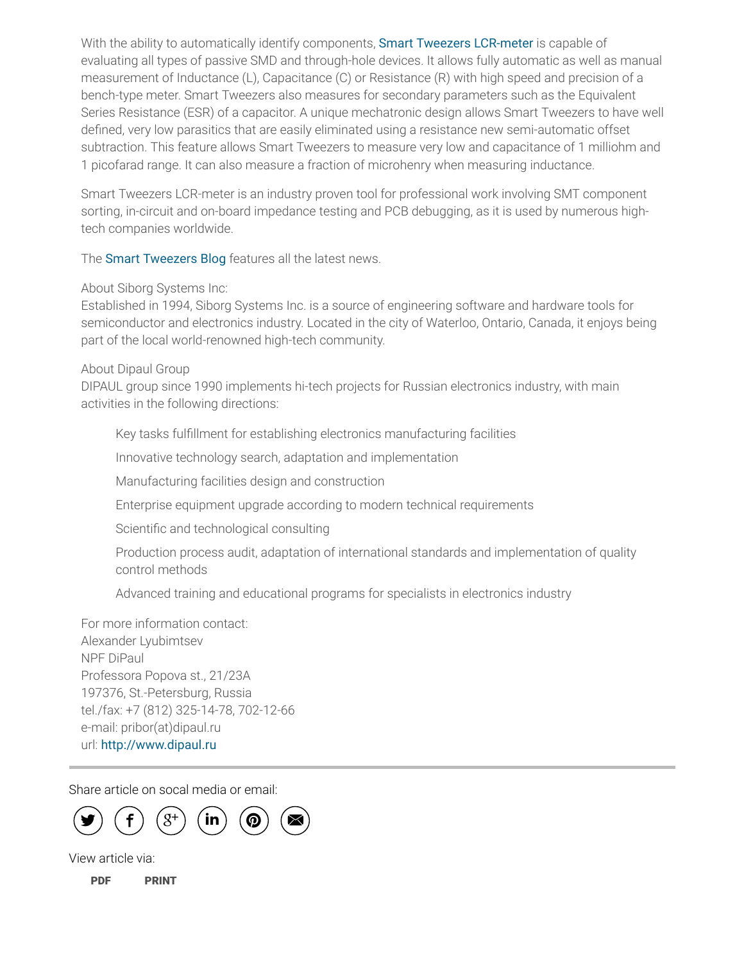With the ability to automatically identify components, Smart Tweezers [LCR-meter](http://www.prweb.net/Redirect.aspx?id=aHR0cDovL3d3dy5zbWFydHR3ZWV6ZXJzLnVz) is capable of evaluating all types of passive SMD and through-hole devices. It allows fully automatic as well as manual measurement of Inductance (L), Capacitance (C) or Resistance (R) with high speed and precision of a bench-type meter. Smart Tweezers also measures for secondary parameters such as the Equivalent Series Resistance (ESR) of a capacitor. A unique mechatronic design allows Smart Tweezers to have well defined, very low parasitics that are easily eliminated using a resistance new semi-automatic offset subtraction. This feature allows Smart Tweezers to measure very low and capacitance of 1 milliohm and 1 picofarad range. It can also measure a fraction of microhenry when measuring inductance.

Smart Tweezers LCR-meter is an industry proven tool for professional work involving SMT component sorting, in-circuit and on-board impedance testing and PCB debugging, as it is used by numerous hightech companies worldwide.

The **Smart [Tweezers](http://www.prweb.net/Redirect.aspx?id=aHR0cDovL3d3dy5zbWFydHR3ZWV6ZXJzLnVzL2Jsb2c=) Blog** features all the latest news.

About Siborg Systems Inc:

Established in 1994, Siborg Systems Inc. is a source of engineering software and hardware tools for semiconductor and electronics industry. Located in the city of Waterloo, Ontario, Canada, it enjoys being part of the local world-renowned high-tech community.

About Dipaul Group

DIPAUL group since 1990 implements hi-tech projects for Russian electronics industry, with main activities in the following directions:

Key tasks fulfillment for establishing electronics manufacturing facilities

Innovative technology search, adaptation and implementation

Manufacturing facilities design and construction

Enterprise equipment upgrade according to modern technical requirements

Scientific and technological consulting

Production process audit, adaptation of international standards and implementation of quality control methods

Advanced training and educational programs for specialists in electronics industry

For more information contact: Alexander Lyubimtsev NPF DiPaul Professora Popova st., 21/23A 197376, St.-Petersburg, Russia tel./fax: +7 (812) 325-14-78, 702-12-66 e-mail: pribor(at)dipaul.ru url: [http://www.dipaul.ru](http://www.prweb.net/Redirect.aspx?id=aHR0cDovL3d3dy5kaXBhdWwucnU=)

Share article on socal media or email:



View article via:

[PDF](http://www.prweb.com/pdfdownload/10282880.pdf) [PRINT](http://www.prweb.com/printer/10282880.htm)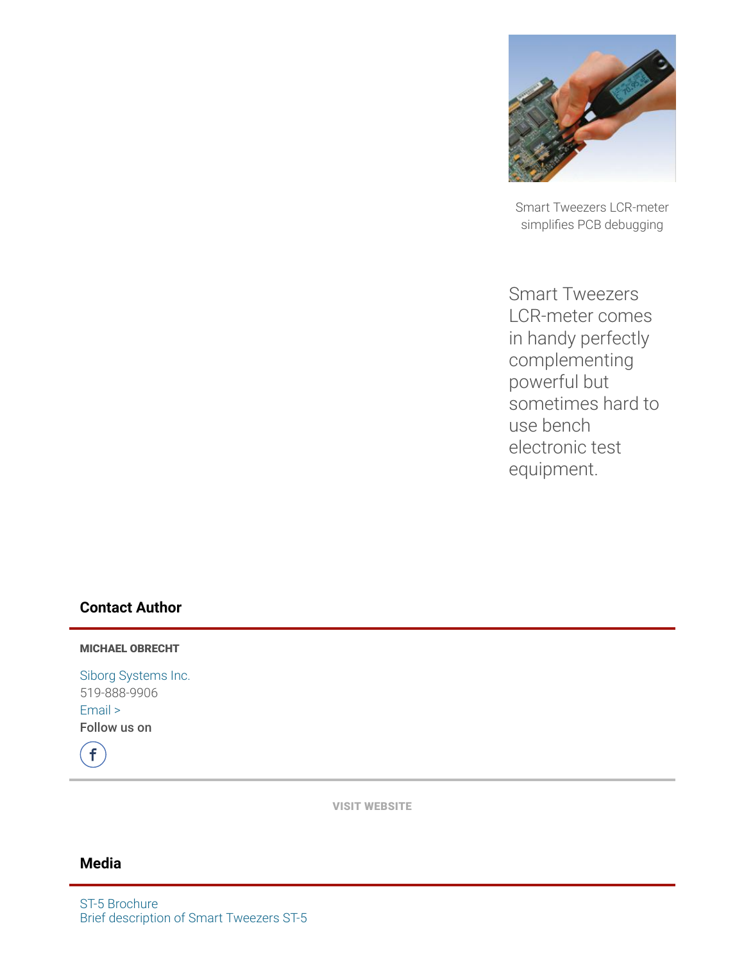

Smart Tweezers LCR-meter simplifies PCB debugging

Smart Tweezers LCR-meter comes in handy perfectly complementing powerful but sometimes hard to use bench electronic test equipment.

## Contact Author

MICHAEL OBRECHT

Siborg [Systems](http://www.prweb.net/Redirect.aspx?id=aHR0cDovL3d3dy5zbWFydHR3ZWV6ZXJzLnVz) Inc. 519-888-9906 [Email](http://www.prweb.com/EmailContact.aspx?prid=10282880) > Follow us on

 $\left| \mathsf{f} \right\rangle$ 

VISIT [WEBSITE](http://www.prweb.net/Redirect.aspx?id=aHR0cDovL3d3dy5zbWFydHR3ZWV6ZXJzLnVz)

## Media